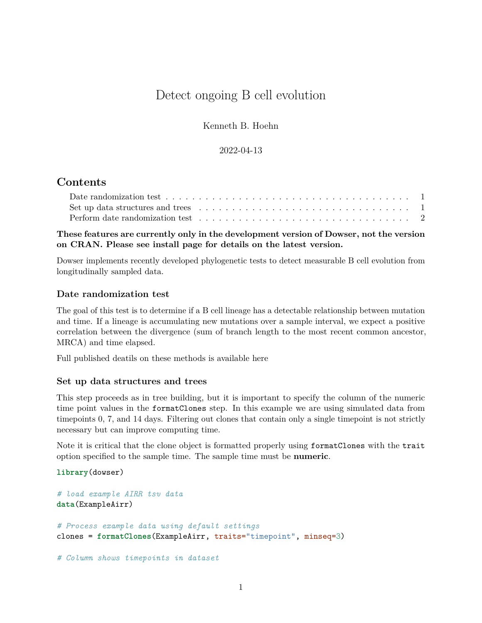# Detect ongoing B cell evolution

Kenneth B. Hoehn

### 2022-04-13

## **Contents**

| Set up data structures and trees $\ldots \ldots \ldots \ldots \ldots \ldots \ldots \ldots \ldots \ldots \ldots \ldots \ldots$ |  |  |  |  |  |  |  |  |  |  |  |  |  |  |
|-------------------------------------------------------------------------------------------------------------------------------|--|--|--|--|--|--|--|--|--|--|--|--|--|--|
| Perform date randomization test $\ldots \ldots \ldots \ldots \ldots \ldots \ldots \ldots \ldots \ldots \ldots$                |  |  |  |  |  |  |  |  |  |  |  |  |  |  |

**These features are currently only in the development version of Dowser, not the version on CRAN. Please see install page for details on the latest version.**

Dowser implements recently developed phylogenetic tests to detect measurable B cell evolution from longitudinally sampled data.

#### <span id="page-0-0"></span>**Date randomization test**

The goal of this test is to determine if a B cell lineage has a detectable relationship between mutation and time. If a lineage is accumulating new mutations over a sample interval, we expect a positive correlation between the divergence (sum of branch length to the most recent common ancestor, MRCA) and time elapsed.

[Full published deatils on these methods is available here](https://elifesciences.org/articles/70873)

#### <span id="page-0-1"></span>**Set up data structures and trees**

This step proceeds as in tree building, but it is important to specify the column of the numeric time point values in the formatClones step. In this example we are using simulated data from timepoints 0, 7, and 14 days. Filtering out clones that contain only a single timepoint is not strictly necessary but can improve computing time.

Note it is critical that the clone object is formatted properly using formatClones with the trait option specified to the sample time. The sample time must be **numeric**.

#### **library**(dowser)

```
# load example AIRR tsv data
data(ExampleAirr)
# Process example data using default settings
clones = formatClones(ExampleAirr, traits="timepoint", minseq=3)
# Column shows timepoints in dataset
```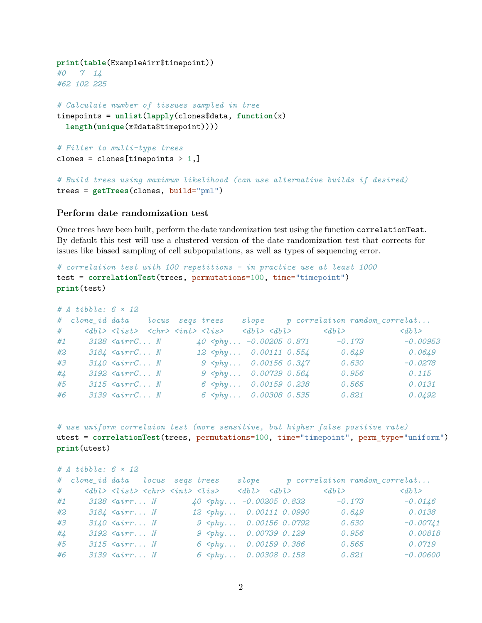```
print(table(ExampleAirr$timepoint))
#0 7 14
#62 102 225
# Calculate number of tissues sampled in tree
timepoints = unlist(lapply(clones$data, function(x)
 length(unique(x@data$timepoint))))
# Filter to multi-type trees
clones = clones [timepoints > 1,]
# Build trees using maximum likelihood (can use alternative builds if desired)
trees = getTrees(clones, build="pml")
```
#### <span id="page-1-0"></span>**Perform date randomization test**

Once trees have been built, perform the date randomization test using the function correlationTest. By default this test will use a clustered version of the date randomization test that corrects for issues like biased sampling of cell subpopulations, as well as types of sequencing error.

```
# correlation test with 100 repetitions - in practice use at least 1000
test = correlationTest(trees, permutations=100, time="timepoint")
print(test)
```

|                 | # $A$ tibble: $6 \times 12$             |                                    |  |                                                                                            |  |                                                                                                                                |       |                                       |
|-----------------|-----------------------------------------|------------------------------------|--|--------------------------------------------------------------------------------------------|--|--------------------------------------------------------------------------------------------------------------------------------|-------|---------------------------------------|
|                 | # clone id data locus segs trees        |                                    |  |                                                                                            |  |                                                                                                                                |       | $slope$ p correlation random correlat |
|                 |                                         |                                    |  |                                                                                            |  | $\#$ <dbl> <list> <chr> <int> <lis> <dbl> <dbl> <dbl> <dbl> <dbl></dbl></dbl></dbl></dbl></dbl></lis></int></chr></list></dbl> |       | $<$ dbl $>$                           |
|                 | $#1$ $3128$ $\langle$ airr $C \ldots N$ |                                    |  |                                                                                            |  | $40$ <phy -0.00205="" -0.173<="" 0.871="" td=""><td></td><td><math>-0.00953</math></td></phy>                                  |       | $-0.00953$                            |
| #2              |                                         | $3184$ $\langle$ airr $C \ldots N$ |  | $12$ <phy 0.00111="" 0.554<="" td=""><td></td><td></td><td>0.649</td><td>0.0649</td></phy> |  |                                                                                                                                | 0.649 | 0.0649                                |
| #3              |                                         | $3140$ $\langle$ airr $C \ldots N$ |  | $9$ $\langle phy 0.00156 0.347 \rangle$                                                    |  |                                                                                                                                | 0.630 | $-0.0278$                             |
| # $\frac{1}{4}$ |                                         | $3192$ $\langle$ airr $C \ldots N$ |  | $9$ <phy 0.00739="" 0.564<="" td=""><td></td><td></td><td>0.956</td><td>0.115</td></phy>   |  |                                                                                                                                | 0.956 | 0.115                                 |
| #5              |                                         | $3115$ $\langle$ airr $C \ldots N$ |  | $6$ <phy 0.00159="" 0.238<="" td=""><td></td><td></td><td>0.565</td><td>0.0131</td></phy>  |  |                                                                                                                                | 0.565 | 0.0131                                |
| #6              |                                         | $3139$ $\langle$ airr $C \ldots N$ |  | $6$ <phy 0.00308="" 0.535<="" td=""><td></td><td></td><td>0.821</td><td>0.0492</td></phy>  |  |                                                                                                                                | 0.821 | 0.0492                                |

*# use uniform correlaion test (more sensitive, but higher false positive rate)* utest = **correlationTest**(trees, permutations=100, time="timepoint", perm\_type="uniform") **print**(utest)

|                 | # $A$ tibble: $6 \times 12$                                                                                                    |                         |  |                                                                                                                   |  |  |       |       |                                     |
|-----------------|--------------------------------------------------------------------------------------------------------------------------------|-------------------------|--|-------------------------------------------------------------------------------------------------------------------|--|--|-------|-------|-------------------------------------|
|                 | # clone id data locus segs trees                                                                                               |                         |  |                                                                                                                   |  |  |       |       | slope p correlation random correlat |
|                 | $\#$ <dbl> <list> <chr> <int> <lis> <dbl> <dbl> <dbl> <dbl> <dbl></dbl></dbl></dbl></dbl></dbl></lis></int></chr></list></dbl> |                         |  |                                                                                                                   |  |  |       |       | $<$ dbl $>$                         |
|                 | #1 $3128$ <airr <math="" n="">40 <phy -0.00205="" 0.832="" <math="">-0.173</phy></airr>                                        |                         |  |                                                                                                                   |  |  |       |       | $-0.0146$                           |
| #2              |                                                                                                                                | $3184$ $\langle$ airr N |  | $12$ <phy 0.00111="" 0.0990<="" td=""><td></td><td></td><td>0.649</td><td></td><td>0.0138</td></phy>              |  |  | 0.649 |       | 0.0138                              |
| #3              |                                                                                                                                | $3140$ $\langle$ airr N |  | $9$ $2\n9 \, \text{ghy} \ldots \quad 0.00156 \, 0.0792$                                                           |  |  |       | 0.630 | $-0.00741$                          |
| # $\frac{1}{4}$ |                                                                                                                                | $3192$ $\langle$ airr N |  | $9$ <phy 0.00739="" 0.129<="" td=""><td></td><td></td><td></td><td>0.956</td><td>0.00818</td></phy>               |  |  |       | 0.956 | 0.00818                             |
| #5              |                                                                                                                                | $3115$ $\langle$ airr N |  | $6$ $\langle phy 0.00159 0.386$                                                                                   |  |  |       | 0.565 | 0.0719                              |
| #6              |                                                                                                                                | $3139$ $\langle$ airr N |  | $6$ <phy 0.00308="" 0.158<="" td=""><td></td><td></td><td></td><td>0.821</td><td><math>-0.00600</math></td></phy> |  |  |       | 0.821 | $-0.00600$                          |